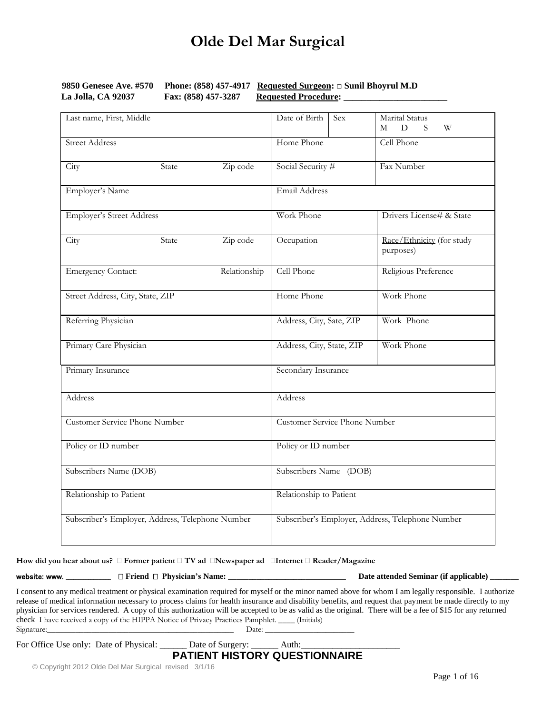| 9850 Genesee Ave. #570 |                     | <b>Phone:</b> (858) 457-4917 Requested Surgeon: $\Box$ Sunil Bhoyrul M.D |
|------------------------|---------------------|--------------------------------------------------------------------------|
| La Jolla, CA 92037     | Fax: (858) 457-3287 | <b>Requested Procedure:</b>                                              |

| Last name, First, Middle             |                                                  |              | Date of Birth                        | Sex                                              | Marital Status<br>D<br>S.<br>W<br>M    |  |  |
|--------------------------------------|--------------------------------------------------|--------------|--------------------------------------|--------------------------------------------------|----------------------------------------|--|--|
| <b>Street Address</b>                |                                                  |              | Home Phone                           |                                                  | Cell Phone                             |  |  |
| City                                 | State                                            | Zip code     | Social Security #                    |                                                  | Fax Number                             |  |  |
| Employer's Name                      |                                                  |              | Email Address                        |                                                  |                                        |  |  |
| <b>Employer's Street Address</b>     |                                                  |              | Work Phone                           |                                                  | Drivers License# & State               |  |  |
| City                                 | State                                            | Zip code     | Occupation                           |                                                  | Race/Ethnicity (for study<br>purposes) |  |  |
| <b>Emergency Contact:</b>            |                                                  | Relationship | Cell Phone                           |                                                  | Religious Preference                   |  |  |
| Street Address, City, State, ZIP     |                                                  |              | Home Phone                           |                                                  | Work Phone                             |  |  |
| Referring Physician                  |                                                  |              | Address, City, Sate, ZIP             |                                                  | Work Phone                             |  |  |
|                                      | Primary Care Physician                           |              |                                      | Address, City, State, ZIP                        | Work Phone                             |  |  |
| Primary Insurance                    |                                                  |              | Secondary Insurance                  |                                                  |                                        |  |  |
| Address                              |                                                  |              | Address                              |                                                  |                                        |  |  |
| <b>Customer Service Phone Number</b> |                                                  |              | <b>Customer Service Phone Number</b> |                                                  |                                        |  |  |
| Policy or ID number                  |                                                  |              | Policy or ID number                  |                                                  |                                        |  |  |
| Subscribers Name (DOB)               |                                                  |              | Subscribers Name (DOB)               |                                                  |                                        |  |  |
| Relationship to Patient              |                                                  |              | Relationship to Patient              |                                                  |                                        |  |  |
|                                      | Subscriber's Employer, Address, Telephone Number |              |                                      | Subscriber's Employer, Address, Telephone Number |                                        |  |  |

**How did you hear about us? Former patient TV ad Newspaper ad Internet Reader/Magazine**

website: www. \_\_\_\_\_\_\_\_\_\_\_\_\_\_\_\_\_\_ **Friend Physician's Name: \_\_\_\_\_\_\_\_\_\_\_\_\_\_\_\_\_\_\_\_\_\_\_\_\_\_\_\_\_ Date attended Seminar (if applicable) \_\_\_\_\_\_\_**

I consent to any medical treatment or physical examination required for myself or the minor named above for whom I am legally responsible. I authorize release of medical information necessary to process claims for health insurance and disability benefits, and request that payment be made directly to my physician for services rendered. A copy of this authorization will be accepted to be as valid as the original. There will be a fee of \$15 for any returned check I have received a copy of the HIPPA Notice of Privacy Practices Pamphlet. \_\_\_\_ (Initials) Signature:\_\_\_\_\_\_\_\_\_\_\_\_\_\_\_\_\_\_\_\_\_\_\_\_\_\_\_\_\_\_\_\_\_\_\_\_\_\_\_\_\_\_\_\_\_\_ Date: \_\_\_\_\_\_\_\_\_\_\_\_\_\_\_\_\_\_\_\_\_\_

For Office Use only: Date of Physical: \_\_\_\_\_\_\_ Date of Surgery: \_\_\_\_\_\_\_\_ Auth:

### **PATIENT HISTORY QUESTIONNAIRE**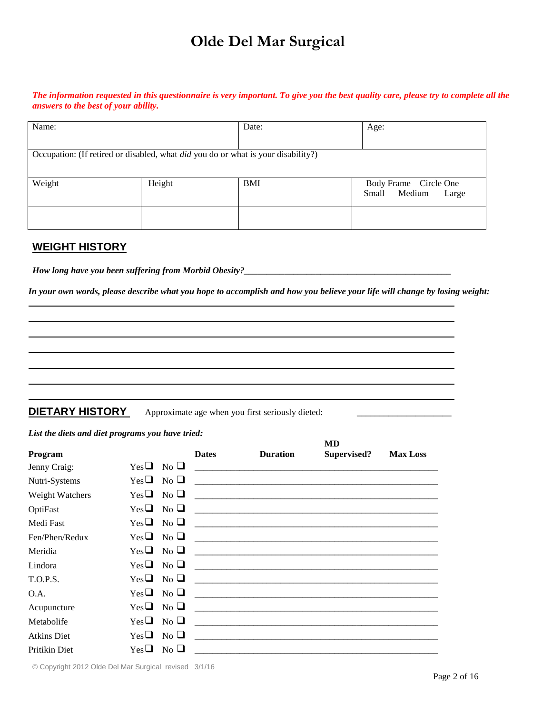*The information requested in this questionnaire is very important. To give you the best quality care, please try to complete all the answers to the best of your ability.* 

| Name:                                                                                    |        | Date:      | Age:                     |
|------------------------------------------------------------------------------------------|--------|------------|--------------------------|
|                                                                                          |        |            |                          |
|                                                                                          |        |            |                          |
|                                                                                          |        |            |                          |
| Occupation: (If retired or disabled, what <i>did</i> you do or what is your disability?) |        |            |                          |
|                                                                                          |        |            |                          |
|                                                                                          |        |            |                          |
|                                                                                          |        |            |                          |
| Weight                                                                                   | Height | <b>BMI</b> | Body Frame - Circle One  |
|                                                                                          |        |            |                          |
|                                                                                          |        |            |                          |
|                                                                                          |        |            |                          |
|                                                                                          |        |            |                          |
|                                                                                          |        |            |                          |
|                                                                                          |        |            |                          |
|                                                                                          |        |            | Medium<br>Large<br>Small |

#### **WEIGHT HISTORY**

*How long have you been suffering from Morbid Obesity?\_\_\_\_\_\_\_\_\_\_\_\_\_\_\_\_\_\_\_\_\_\_\_\_\_\_\_\_\_\_\_\_\_\_\_\_\_\_\_\_\_\_\_\_\_\_*

*In your own words, please describe what you hope to accomplish and how you believe your life will change by losing weight:*

**DIETARY HISTORY** Approximate age when you first seriously dieted:

#### *List the diets and diet programs you have tried:*

|                    |                          |                           |              |                                                                                                    | MD          |                 |
|--------------------|--------------------------|---------------------------|--------------|----------------------------------------------------------------------------------------------------|-------------|-----------------|
| Program            |                          |                           | <b>Dates</b> | <b>Duration</b>                                                                                    | Supervised? | <b>Max Loss</b> |
| Jenny Craig:       | $Yes \Box No \Box$       |                           |              |                                                                                                    |             |                 |
| Nutri-Systems      | $Yes \Box No \Box$       |                           |              |                                                                                                    |             |                 |
| Weight Watchers    | $Yes \Box No \Box$       |                           |              | and the state of the state of the state of the state of the state of the state of the state of the |             |                 |
| OptiFast           | $Yes \Box No \Box$       |                           |              |                                                                                                    |             |                 |
| Medi Fast          | $Yes \Box No \Box$       |                           |              |                                                                                                    |             |                 |
| Fen/Phen/Redux     | $Yes \Box No \Box$       |                           |              |                                                                                                    |             |                 |
| Meridia            | $Yes \Box No \Box$       |                           |              |                                                                                                    |             |                 |
| Lindora            | $Yes \Box No \Box$       |                           |              |                                                                                                    |             |                 |
| T.O.P.S.           | $Yes \Box No \Box$       |                           |              |                                                                                                    |             |                 |
| O.A.               | $Yes \Box No \Box$       |                           |              |                                                                                                    |             |                 |
| Acupuncture        | $Yes \Box No \Box$       |                           |              |                                                                                                    |             |                 |
| Metabolife         | $Yes \square$            | $\overline{N_{0}}$ $\Box$ |              |                                                                                                    |             |                 |
| <b>Atkins Diet</b> | $Yes \sqcup$ No $\sqcup$ |                           |              |                                                                                                    |             |                 |
| Pritikin Diet      | $Yes\Box$                | $\mathrm{No} \ \square$   |              |                                                                                                    |             |                 |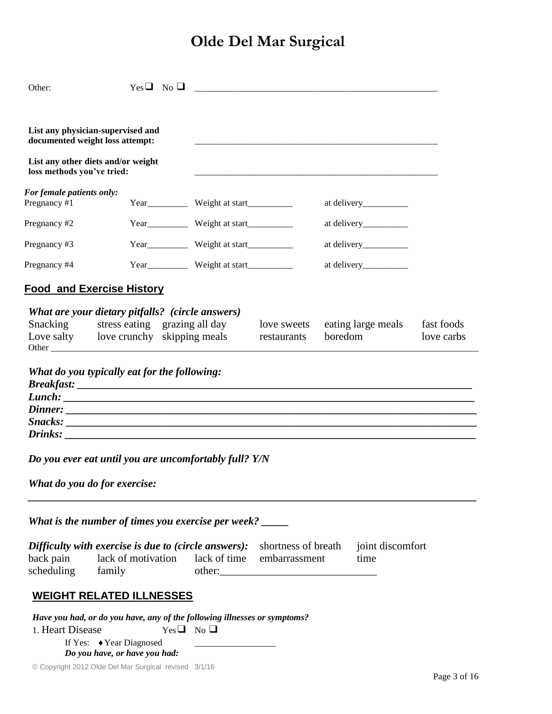| Other:                                                               |                                                                                                                                                                    | $Yes \Box No \Box$ |                                                                                                                                                                                                                                | <u> 1980 - Jan Barnett, martin de filosofoar (h. 1980).</u><br>1900 - Jan Barnett, martin de filosofoar (h. 1900). |         |                    |                          |
|----------------------------------------------------------------------|--------------------------------------------------------------------------------------------------------------------------------------------------------------------|--------------------|--------------------------------------------------------------------------------------------------------------------------------------------------------------------------------------------------------------------------------|--------------------------------------------------------------------------------------------------------------------|---------|--------------------|--------------------------|
| List any physician-supervised and<br>documented weight loss attempt: |                                                                                                                                                                    |                    |                                                                                                                                                                                                                                |                                                                                                                    |         |                    |                          |
| List any other diets and/or weight<br>loss methods you've tried:     |                                                                                                                                                                    |                    |                                                                                                                                                                                                                                |                                                                                                                    |         |                    |                          |
| For female patients only:<br>Pregnancy #1                            |                                                                                                                                                                    |                    | Year Weight at start New Year Net Start New Year Net Start Net Start Net Start Net Start Net Start Net Start Net Start Net Start Net Start Net Start Net Start Net Start Net Start Net Start Net Start Net Start Net Start Net |                                                                                                                    |         |                    |                          |
| Pregnancy #2                                                         |                                                                                                                                                                    |                    | Year____________ Weight at start_____________                                                                                                                                                                                  |                                                                                                                    |         |                    |                          |
| Pregnancy #3                                                         |                                                                                                                                                                    |                    | Year____________ Weight at start_____________                                                                                                                                                                                  |                                                                                                                    |         |                    |                          |
| Pregnancy #4                                                         |                                                                                                                                                                    |                    | Year___________ Weight at start____________                                                                                                                                                                                    |                                                                                                                    |         |                    |                          |
| <b>Food and Exercise History</b>                                     |                                                                                                                                                                    |                    |                                                                                                                                                                                                                                |                                                                                                                    |         |                    |                          |
| Snacking<br>Love salty love crunchy skipping meals                   | What are your dietary pitfalls? (circle answers)<br>stress eating grazing all day                                                                                  |                    |                                                                                                                                                                                                                                | love sweets<br>restaurants                                                                                         | boredom | eating large meals | fast foods<br>love carbs |
| Lunch:                                                               | What do you typically eat for the following:                                                                                                                       |                    |                                                                                                                                                                                                                                |                                                                                                                    |         |                    |                          |
| Do you ever eat until you are uncomfortably full? Y/N                | What do you do for exercise:                                                                                                                                       |                    |                                                                                                                                                                                                                                |                                                                                                                    |         |                    |                          |
|                                                                      | What is the number of times you exercise per week?                                                                                                                 |                    |                                                                                                                                                                                                                                |                                                                                                                    |         |                    |                          |
|                                                                      |                                                                                                                                                                    |                    |                                                                                                                                                                                                                                |                                                                                                                    |         |                    |                          |
| back pain<br>scheduling                                              | Difficulty with exercise is due to (circle answers):<br>shortness of breath<br>joint discomfort<br>lack of motivation lack of time embarrassment<br>time<br>family |                    |                                                                                                                                                                                                                                |                                                                                                                    |         |                    |                          |
|                                                                      | <b>WEIGHT RELATED ILLNESSES</b>                                                                                                                                    |                    |                                                                                                                                                                                                                                |                                                                                                                    |         |                    |                          |
| 1. Heart Disease                                                     | Have you had, or do you have, any of the following illnesses or symptoms?<br>If Yes: ◆ Year Diagnosed<br>Do you have, or have you had:                             | $Yes \Box No \Box$ |                                                                                                                                                                                                                                |                                                                                                                    |         |                    |                          |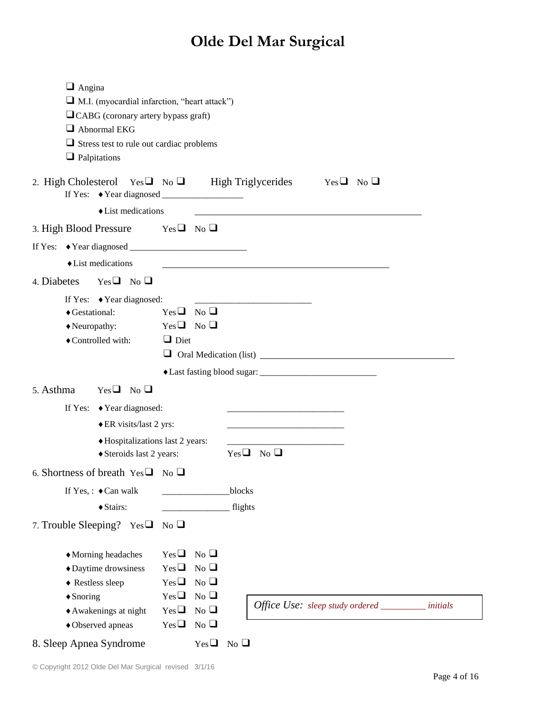| $\Box$ Angina                                                                                                                                   |
|-------------------------------------------------------------------------------------------------------------------------------------------------|
| $\Box$ M.I. (myocardial infarction, "heart attack")                                                                                             |
| $\Box$ CABG (coronary artery bypass graft)                                                                                                      |
| Abnormal EKG                                                                                                                                    |
| $\Box$ Stress test to rule out cardiac problems                                                                                                 |
| $\Box$ Palpitations                                                                                                                             |
|                                                                                                                                                 |
| 2. High Cholesterol Yes $\Box$ No $\Box$ High Triglycerides Yes $\Box$ No $\Box$                                                                |
| $\triangle$ List medications                                                                                                                    |
| 3. High Blood Pressure Yes $\Box$ No $\Box$                                                                                                     |
|                                                                                                                                                 |
| $\blacklozenge$ List medications                                                                                                                |
| 4. Diabetes<br>$Yes \Box$ No $\Box$                                                                                                             |
| If Yes: $\blacklozenge$ Year diagnosed:                                                                                                         |
| $Yes \Box No \Box$<br>◆ Gestational:                                                                                                            |
| $Yes \Box No \Box$<br>$\blacklozenge$ Neuropathy:                                                                                               |
| $\Box$ Diet<br>◆ Controlled with:                                                                                                               |
| Oral Medication (list) 2000                                                                                                                     |
|                                                                                                                                                 |
| 5. Asthma<br>$Yes \Box No \Box$                                                                                                                 |
| If Yes: $\blacklozenge$ Year diagnosed:<br>the contract of the contract of the contract of the contract of the contract of                      |
| ◆ ER visits/last 2 yrs:<br><u> 1980 - Johann Barbara, martin amerikan basar dan basa dalam basa dalam basa dalam basa dalam basa dalam basa</u> |
| ◆ Hospitalizations last 2 years:                                                                                                                |
| $Yes \Box No \Box$<br>◆ Steroids last 2 years:                                                                                                  |
| 6. Shortness of breath $Yes \Box No \Box$                                                                                                       |
| blocks<br>If Yes, : $\triangleleft$ Can walk                                                                                                    |
| ◆ Stairs:<br>flights                                                                                                                            |
| 7. Trouble Sleeping? $Yes \Box$<br>N <sub>0</sub>                                                                                               |
|                                                                                                                                                 |
| N <sub>0</sub><br>$Yes\Box$<br>◆ Morning headaches                                                                                              |
| N <sub>0</sub><br>$Yes \square$<br>◆ Daytime drowsiness                                                                                         |
| N <sub>0</sub><br>$Yes \Box$<br>◆ Restless sleep                                                                                                |
| N <sub>0</sub><br>$Yes \Box$<br>$\triangle$ Snoring                                                                                             |
| Office Use: sleep study ordered ___________ initials<br>$Yes \Box$<br>N <sub>0</sub><br>◆ Awakenings at night                                   |
| $Yes \Box$<br>N <sub>0</sub><br>◆ Observed apneas                                                                                               |
| 8. Sleep Apnea Syndrome<br>$Yes \Box$<br>N <sub>0</sub>                                                                                         |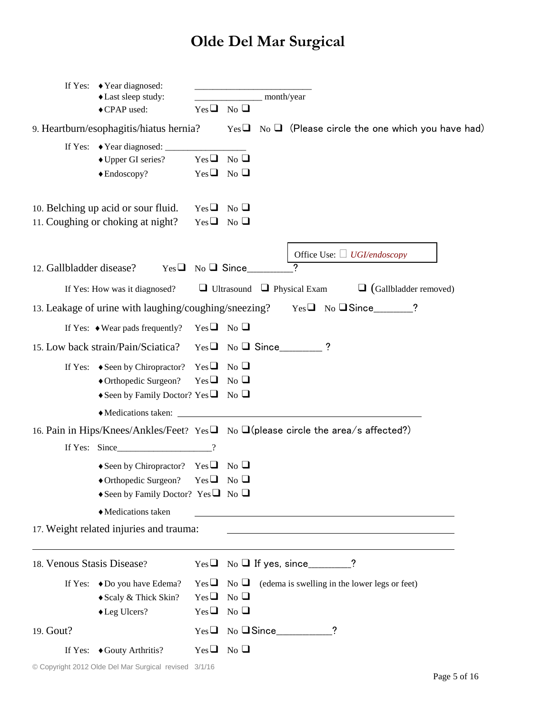|                            | If Yes: $\blacklozenge$ Year diagnosed:<br>◆ Last sleep study:                                                                                                |                                          |                                                                |                                                                                          |
|----------------------------|---------------------------------------------------------------------------------------------------------------------------------------------------------------|------------------------------------------|----------------------------------------------------------------|------------------------------------------------------------------------------------------|
|                            | ◆ CPAP used:                                                                                                                                                  |                                          | $Yes \Box No \Box$                                             |                                                                                          |
|                            | 9. Heartburn/esophagitis/hiatus hernia?                                                                                                                       |                                          |                                                                | $Yes \Box$ No $\Box$ (Please circle the one which you have had)                          |
|                            | ◆ Upper GI series?<br>$\triangle$ Endoscopy?                                                                                                                  | $Yes \Box No \Box$<br>$Yes \Box No \Box$ |                                                                |                                                                                          |
|                            | 10. Belching up acid or sour fluid.<br>11. Coughing or choking at night?                                                                                      | $Yes \Box No \Box$                       | $Yes \Box No \Box$                                             |                                                                                          |
| 12. Gallbladder disease?   |                                                                                                                                                               |                                          | $Yes \Box No \Box Since$                                       | Office Use: $\Box$ UGI/endoscopy                                                         |
|                            | If Yes: How was it diagnosed?                                                                                                                                 |                                          |                                                                | $\Box$ (Gallbladder removed)<br>$\Box$ Ultrasound $\Box$ Physical Exam                   |
|                            |                                                                                                                                                               |                                          |                                                                | 13. Leakage of urine with laughing/coughing/sneezing? Yes□ No □ Since_______?            |
|                            | If Yes: $\bullet$ Wear pads frequently? Yes $\Box$ No $\Box$                                                                                                  |                                          |                                                                |                                                                                          |
|                            | 15. Low back strain/Pain/Sciatica?                                                                                                                            |                                          |                                                                | $Yes \Box No \Box Since$ ?                                                               |
|                            | If Yes: $\bullet$ Seen by Chiropractor? Yes $\Box$ No $\Box$<br>◆ Orthopedic Surgeon?<br>Seen by Family Doctor? Yes $\Box$ No $\Box$                          | $Yes \Box No \Box$                       |                                                                |                                                                                          |
|                            | Medications taken:                                                                                                                                            |                                          |                                                                | <u> 1989 - Johann Stein, fransk politik (d. 1989)</u>                                    |
|                            |                                                                                                                                                               |                                          |                                                                | 16. Pain in Hips/Knees/Ankles/Feet? Yes no no no let please circle the area/s affected?) |
|                            | $\triangle$ Seen by Chiropractor? Yes $\Box$ No $\Box$<br>$\triangle$ Orthopedic Surgeon? Yes $\Box$ No $\Box$<br>Seen by Family Doctor? Yes $\Box$ No $\Box$ |                                          |                                                                |                                                                                          |
|                            | Medications taken<br>17. Weight related injuries and trauma:                                                                                                  |                                          |                                                                |                                                                                          |
|                            |                                                                                                                                                               |                                          |                                                                |                                                                                          |
| 18. Venous Stasis Disease? |                                                                                                                                                               |                                          |                                                                | $Yes \Box No \Box If yes, since \_\_\_\_\_?\$                                            |
|                            | If Yes: ◆ Do you have Edema?<br>◆ Scaly & Thick Skin?<br>◆ Leg Ulcers?                                                                                        |                                          | $Yes \Box No \Box$<br>$Yes \Box No \Box$<br>$Yes \Box No \Box$ | (edema is swelling in the lower legs or feet)                                            |
| 19. Gout?                  |                                                                                                                                                               |                                          |                                                                |                                                                                          |
|                            | If Yes: ◆ Gouty Arthritis?                                                                                                                                    |                                          | $Yes \Box No \Box$                                             |                                                                                          |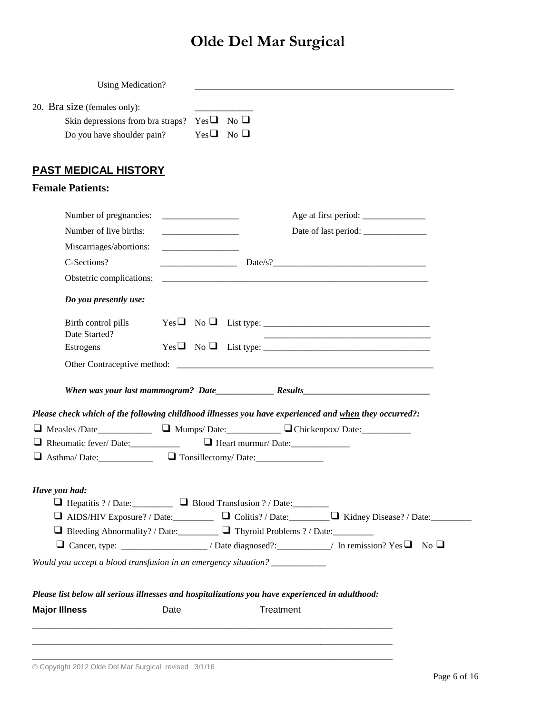| <b>Using Medication?</b>                                                                        |                                                                                              |                                                                                                                                                                                                                                                                                    |
|-------------------------------------------------------------------------------------------------|----------------------------------------------------------------------------------------------|------------------------------------------------------------------------------------------------------------------------------------------------------------------------------------------------------------------------------------------------------------------------------------|
| 20. Bra size (females only):<br>Skin depressions from bra straps?<br>Do you have shoulder pain? |                                                                                              | $Yes \Box No \Box$<br>$Yes \Box No \Box$                                                                                                                                                                                                                                           |
| <b>PAST MEDICAL HISTORY</b>                                                                     |                                                                                              |                                                                                                                                                                                                                                                                                    |
| <b>Female Patients:</b>                                                                         |                                                                                              |                                                                                                                                                                                                                                                                                    |
| Number of pregnancies:<br>Number of live births:<br>Miscarriages/abortions:                     | <u> 1980 - Johann Barbara, martin a</u><br><u> 1980 - Jan Barnett, fransk politik (d. 19</u> |                                                                                                                                                                                                                                                                                    |
| C-Sections?                                                                                     |                                                                                              | Date/s?                                                                                                                                                                                                                                                                            |
| Obstetric complications:                                                                        |                                                                                              |                                                                                                                                                                                                                                                                                    |
| Do you presently use:                                                                           |                                                                                              |                                                                                                                                                                                                                                                                                    |
| Birth control pills<br>Date Started?                                                            |                                                                                              | $Yes \Box No \Box List type: \_\_$                                                                                                                                                                                                                                                 |
| Estrogens                                                                                       |                                                                                              | $Yes \Box No \Box List type: \_\_$                                                                                                                                                                                                                                                 |
|                                                                                                 |                                                                                              |                                                                                                                                                                                                                                                                                    |
|                                                                                                 |                                                                                              |                                                                                                                                                                                                                                                                                    |
|                                                                                                 |                                                                                              | Please check which of the following childhood illnesses you have experienced and when they occurred?:                                                                                                                                                                              |
|                                                                                                 |                                                                                              | □ Measles /Date______________ □ Mumps/ Date:__________ □ Chickenpox/ Date:__________                                                                                                                                                                                               |
| Rheumatic fever/Date:                                                                           |                                                                                              | Heart murmur/Date:                                                                                                                                                                                                                                                                 |
| $\Box$ Asthma/Date: $\Box$ Tonsillectomy/Date:                                                  |                                                                                              |                                                                                                                                                                                                                                                                                    |
| Have you had:                                                                                   |                                                                                              | □ AIDS/HIV Exposure? / Date:__________ □ Colitis? / Date:________ □ Kidney Disease? / Date:________<br>□ Bleeding Abnormality? / Date: □ □ Thyroid Problems ? / Date: □<br>$\Box$ Cancer, type: __________________/ Date diagnosed?:__________/ In remission? Yes $\Box$ No $\Box$ |
| Would you accept a blood transfusion in an emergency situation? ___________                     |                                                                                              |                                                                                                                                                                                                                                                                                    |
|                                                                                                 |                                                                                              |                                                                                                                                                                                                                                                                                    |
|                                                                                                 |                                                                                              | Please list below all serious illnesses and hospitalizations you have experienced in adulthood:                                                                                                                                                                                    |
| <b>Major Illness</b>                                                                            | Date                                                                                         | Treatment                                                                                                                                                                                                                                                                          |
|                                                                                                 |                                                                                              |                                                                                                                                                                                                                                                                                    |

\_\_\_\_\_\_\_\_\_\_\_\_\_\_\_\_\_\_\_\_\_\_\_\_\_\_\_\_\_\_\_\_\_\_\_\_\_\_\_\_\_\_\_\_\_\_\_\_\_\_\_\_\_\_\_\_\_\_\_\_\_\_\_\_\_\_\_\_\_\_\_\_\_\_\_\_\_\_\_\_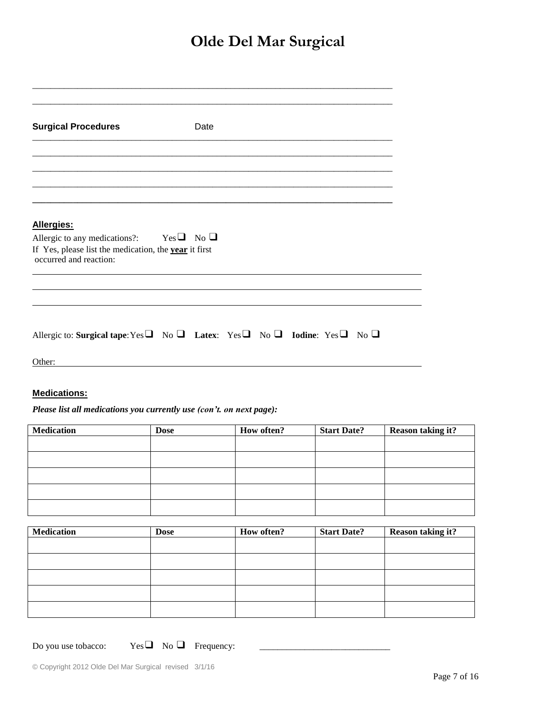| <b>Surgical Procedures</b>                                                                                                            | Date |  |  |  |
|---------------------------------------------------------------------------------------------------------------------------------------|------|--|--|--|
|                                                                                                                                       |      |  |  |  |
| Allergies:                                                                                                                            |      |  |  |  |
| Allergic to any medications?: Yes $\Box$ No $\Box$<br>If Yes, please list the medication, the year it first<br>occurred and reaction: |      |  |  |  |
|                                                                                                                                       |      |  |  |  |
| Allergic to: Surgical tape: Yes $\Box$ No $\Box$ Latex: Yes $\Box$ No $\Box$ Iodine: Yes $\Box$ No $\Box$                             |      |  |  |  |
| Other:                                                                                                                                |      |  |  |  |

### **Medications:**

*Please list all medications you currently use (con't. on next page):*

| <b>Medication</b> | <b>Dose</b> | How often? | <b>Start Date?</b> | <b>Reason taking it?</b> |
|-------------------|-------------|------------|--------------------|--------------------------|
|                   |             |            |                    |                          |
|                   |             |            |                    |                          |
|                   |             |            |                    |                          |
|                   |             |            |                    |                          |
|                   |             |            |                    |                          |

| <b>Medication</b> | <b>Dose</b> | How often? | <b>Start Date?</b> | <b>Reason taking it?</b> |
|-------------------|-------------|------------|--------------------|--------------------------|
|                   |             |            |                    |                          |
|                   |             |            |                    |                          |
|                   |             |            |                    |                          |
|                   |             |            |                    |                          |
|                   |             |            |                    |                          |

Do you use tobacco:  $Yes \Box$  No  $\Box$  Frequency:

 $\overline{\phantom{0}}$  $\overline{\phantom{0}}$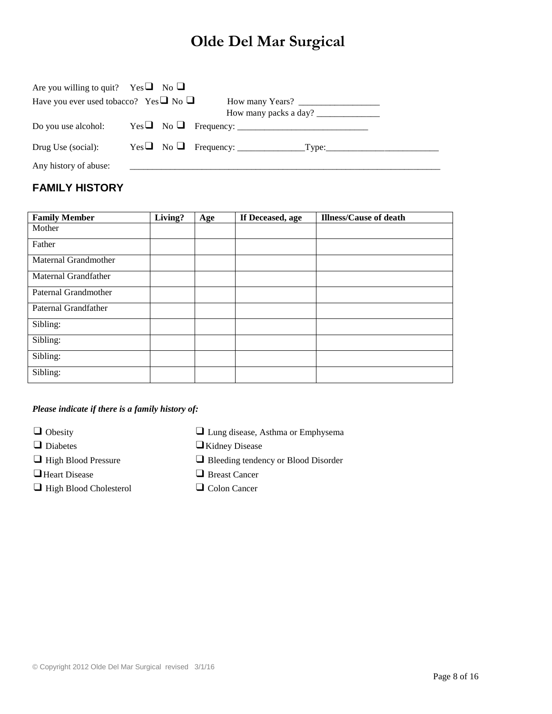| Are you willing to quit? Yes $\Box$ No $\Box$    |  |  |
|--------------------------------------------------|--|--|
| Have you ever used tobacco? Yes $\Box$ No $\Box$ |  |  |
|                                                  |  |  |
| Do you use alcohol:                              |  |  |
| Drug Use (social):                               |  |  |
| Any history of abuse:                            |  |  |

## **FAMILY HISTORY**

| <b>Family Member</b> | Living? | Age | If Deceased, age | <b>Illness/Cause of death</b> |
|----------------------|---------|-----|------------------|-------------------------------|
| Mother               |         |     |                  |                               |
| Father               |         |     |                  |                               |
| Maternal Grandmother |         |     |                  |                               |
| Maternal Grandfather |         |     |                  |                               |
| Paternal Grandmother |         |     |                  |                               |
| Paternal Grandfather |         |     |                  |                               |
| Sibling:             |         |     |                  |                               |
| Sibling:             |         |     |                  |                               |
| Sibling:             |         |     |                  |                               |
| Sibling:             |         |     |                  |                               |

#### *Please indicate if there is a family history of:*

 $\Box$  Obesity

❑Heart Disease ❑ Breast Cancer

❑ High Blood Cholesterol ❑ Colon Cancer

|  | I Lung disease, Asthma or Emphysema |  |  |
|--|-------------------------------------|--|--|
|  |                                     |  |  |

❑ Diabetes ❑Kidney Disease

- ❑ High Blood Pressure ❑ Bleeding tendency or Blood Disorder
	-
	-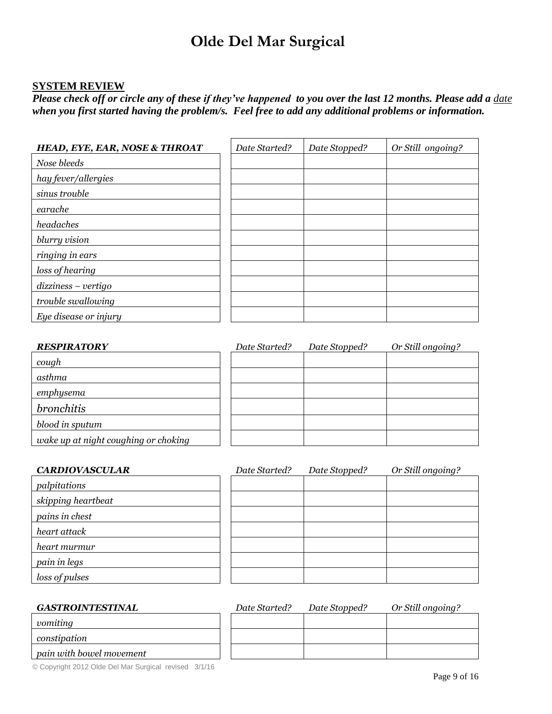#### **SYSTEM REVIEW**

*Please check off or circle any of these if they've happened to you over the last 12 months. Please add a*  $\frac{date}{}$ *when you first started having the problem/s. Feel free to add any additional problems or information.* 

| <b>HEAD, EYE, EAR, NOSE &amp; THROAT</b> | Date Started? | Date Stopped? | Or Still ongoing? |
|------------------------------------------|---------------|---------------|-------------------|
| Nose bleeds                              |               |               |                   |
| hay fever/allergies                      |               |               |                   |
| sinus trouble                            |               |               |                   |
| earache                                  |               |               |                   |
| headaches                                |               |               |                   |
| blurry vision                            |               |               |                   |
| ringing in ears                          |               |               |                   |
| loss of hearing                          |               |               |                   |
| $dizziness - vertigo$                    |               |               |                   |
| trouble swallowing                       |               |               |                   |
| Eye disease or injury                    |               |               |                   |

| <b>RESPIRATORY</b>                   | Date Started? | Date Stopped? | Or Still ongoing? |
|--------------------------------------|---------------|---------------|-------------------|
| cough                                |               |               |                   |
| asthma                               |               |               |                   |
| emphysema                            |               |               |                   |
| <i>bronchitis</i>                    |               |               |                   |
| blood in sputum                      |               |               |                   |
| wake up at night coughing or choking |               |               |                   |

| <b>CARDIOVASCULAR</b> | Date Started? | Date Stopped? | Or Still ongoing? |
|-----------------------|---------------|---------------|-------------------|
| palpitations          |               |               |                   |
| skipping heartbeat    |               |               |                   |
| pains in chest        |               |               |                   |
| heart attack          |               |               |                   |
| heart murmur          |               |               |                   |
| pain in legs          |               |               |                   |
| loss of pulses        |               |               |                   |

| <b>GASTROINTESTINAL</b>  | Date Started? | Date Stopped? | Or Still ongoing? |
|--------------------------|---------------|---------------|-------------------|
| vomiting                 |               |               |                   |
| constipation             |               |               |                   |
| pain with bowel movement |               |               |                   |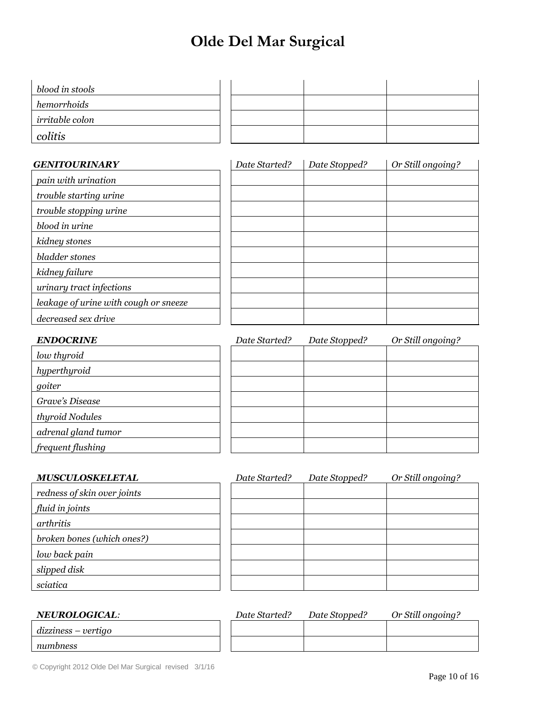| blood in stools |  |  |  |
|-----------------|--|--|--|
| hemorrhoids     |  |  |  |
| irritable colon |  |  |  |
| colitis         |  |  |  |

| <b>GENITOURINARY</b>                  | Date Started? | Date Stopped? | Or Still ongoing? |
|---------------------------------------|---------------|---------------|-------------------|
| pain with urination                   |               |               |                   |
| trouble starting urine                |               |               |                   |
| trouble stopping urine                |               |               |                   |
| blood in urine                        |               |               |                   |
| kidney stones                         |               |               |                   |
| bladder stones                        |               |               |                   |
| kidney failure                        |               |               |                   |
| urinary tract infections              |               |               |                   |
| leakage of urine with cough or sneeze |               |               |                   |
| decreased sex drive                   |               |               |                   |

| <b>ENDOCRINE</b>    | Date Started? | Date Stopped? | Or Still ongoing? |
|---------------------|---------------|---------------|-------------------|
| low thyroid         |               |               |                   |
| hyperthyroid        |               |               |                   |
| goiter              |               |               |                   |
| Grave's Disease     |               |               |                   |
| thyroid Nodules     |               |               |                   |
| adrenal gland tumor |               |               |                   |
| frequent flushing   |               |               |                   |

| <b>MUSCULOSKELETAL</b>      | Date Started? | Date Stopped? | Or Still ongoing? |
|-----------------------------|---------------|---------------|-------------------|
| redness of skin over joints |               |               |                   |
| fluid in joints             |               |               |                   |
| arthritis                   |               |               |                   |
| broken bones (which ones?)  |               |               |                   |
| low back pain               |               |               |                   |
| slipped disk                |               |               |                   |
| sciatica                    |               |               |                   |

| <b>NEUROLOGICAL:</b>  | Date Started? | Date Stopped? | Or Still ongoing? |
|-----------------------|---------------|---------------|-------------------|
| $dizziness - vertigo$ |               |               |                   |
| numbness              |               |               |                   |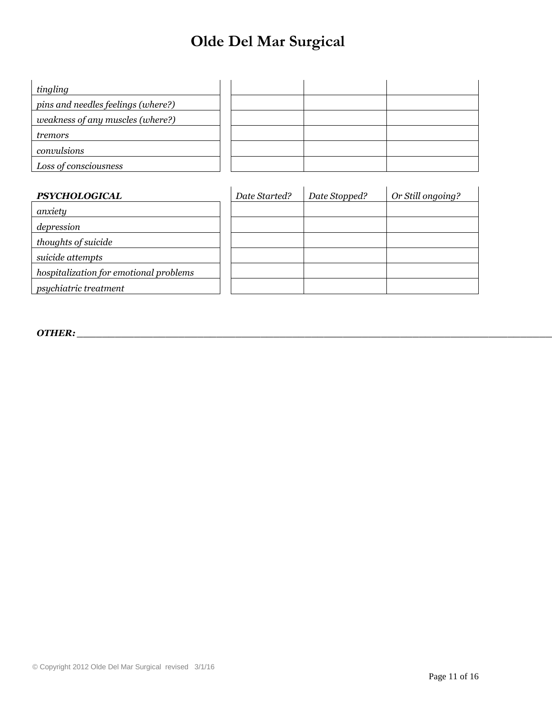| tingling                           |  |  |
|------------------------------------|--|--|
| pins and needles feelings (where?) |  |  |
| weakness of any muscles (where?)   |  |  |
| tremors                            |  |  |
| convulsions                        |  |  |
| Loss of consciousness              |  |  |

| <b>PSYCHOLOGICAL</b>                   | Date Started? | Date Stopped? | Or Still ongoing? |
|----------------------------------------|---------------|---------------|-------------------|
| anxiety                                |               |               |                   |
| depression                             |               |               |                   |
| thoughts of suicide                    |               |               |                   |
| suicide attempts                       |               |               |                   |
| hospitalization for emotional problems |               |               |                   |
| psychiatric treatment                  |               |               |                   |

*OTHER: \_\_\_\_\_\_\_\_\_\_\_\_\_\_\_\_\_\_\_\_\_\_\_\_\_\_\_\_\_\_\_\_\_\_\_\_\_\_\_\_\_\_\_\_\_\_\_\_\_\_\_\_\_\_\_\_\_\_\_\_\_\_\_\_\_\_\_\_\_\_\_\_\_\_\_\_*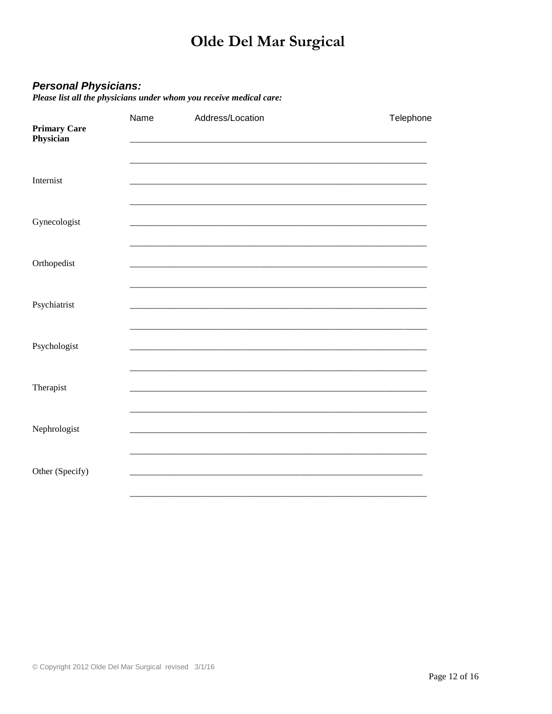**Personal Physicians:**<br>Please list all the physicians under whom you receive medical care:

| <b>Primary Care</b><br>Physician | Name | Address/Location | Telephone |
|----------------------------------|------|------------------|-----------|
| Internist                        |      |                  |           |
| Gynecologist                     |      |                  |           |
| Orthopedist                      |      |                  |           |
| Psychiatrist                     |      |                  |           |
| Psychologist                     |      |                  |           |
| Therapist                        |      |                  |           |
| Nephrologist                     |      |                  |           |
| Other (Specify)                  |      |                  |           |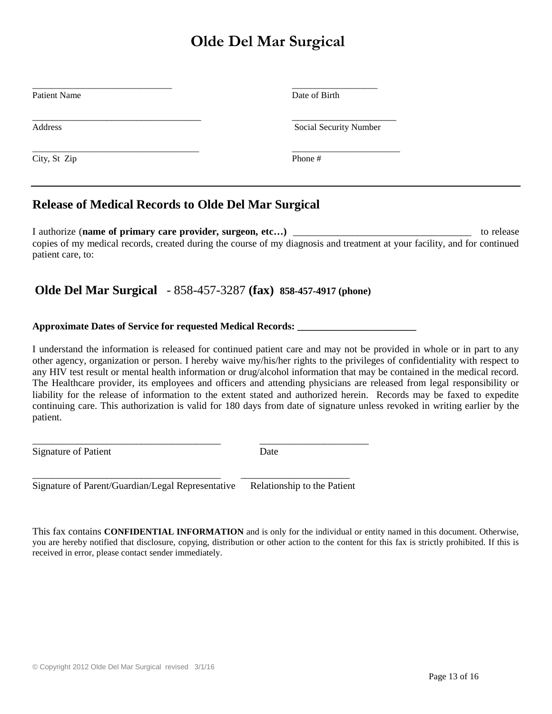| Date of Birth          |
|------------------------|
| Social Security Number |
| Phone #                |
|                        |

## **Release of Medical Records to Olde Del Mar Surgical**

I authorize (**name of primary care provider, surgeon, etc…)** \_\_\_\_\_\_\_\_\_\_\_\_\_\_\_\_\_\_\_\_\_\_\_\_\_\_\_\_\_\_\_\_\_\_\_\_ to release copies of my medical records, created during the course of my diagnosis and treatment at your facility, and for continued patient care, to:

## **Olde Del Mar Surgical** - 858-457-3287 **(fax) 858-457-4917 (phone)**

#### **Approximate Dates of Service for requested Medical Records: \_\_\_\_\_\_\_\_\_\_\_\_\_\_\_\_\_\_\_\_\_\_\_\_**

I understand the information is released for continued patient care and may not be provided in whole or in part to any other agency, organization or person. I hereby waive my/his/her rights to the privileges of confidentiality with respect to any HIV test result or mental health information or drug/alcohol information that may be contained in the medical record. The Healthcare provider, its employees and officers and attending physicians are released from legal responsibility or liability for the release of information to the extent stated and authorized herein. Records may be faxed to expedite continuing care. This authorization is valid for 180 days from date of signature unless revoked in writing earlier by the patient.

Signature of Patient Date

\_\_\_\_\_\_\_\_\_\_\_\_\_\_\_\_\_\_\_\_\_\_\_\_\_\_\_\_\_\_\_\_\_\_\_\_\_\_ \_\_\_\_\_\_\_\_\_\_\_\_\_\_\_\_\_\_\_\_\_\_ Signature of Parent/Guardian/Legal Representative Relationship to the Patient

\_\_\_\_\_\_\_\_\_\_\_\_\_\_\_\_\_\_\_\_\_\_\_\_\_\_\_\_\_\_\_\_\_\_\_\_\_\_ \_\_\_\_\_\_\_\_\_\_\_\_\_\_\_\_\_\_\_\_\_\_

This fax contains **CONFIDENTIAL INFORMATION** and is only for the individual or entity named in this document. Otherwise, you are hereby notified that disclosure, copying, distribution or other action to the content for this fax is strictly prohibited. If this is received in error, please contact sender immediately.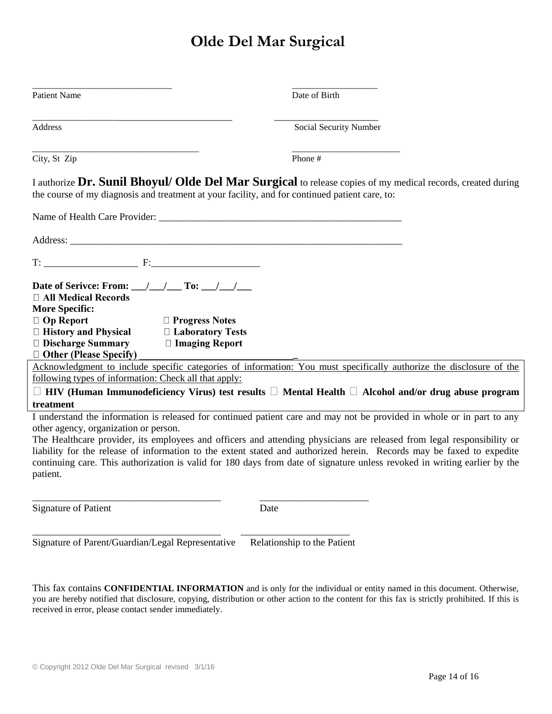| <b>Patient Name</b>                                                                                                                                                                                                                                                                                                                                                                                                                                                                                                                                                      | Date of Birth          |
|--------------------------------------------------------------------------------------------------------------------------------------------------------------------------------------------------------------------------------------------------------------------------------------------------------------------------------------------------------------------------------------------------------------------------------------------------------------------------------------------------------------------------------------------------------------------------|------------------------|
| Address                                                                                                                                                                                                                                                                                                                                                                                                                                                                                                                                                                  | Social Security Number |
| City, St Zip                                                                                                                                                                                                                                                                                                                                                                                                                                                                                                                                                             | Phone#                 |
| I authorize Dr. Sunil Bhoyul/ Olde Del Mar Surgical to release copies of my medical records, created during<br>the course of my diagnosis and treatment at your facility, and for continued patient care, to:                                                                                                                                                                                                                                                                                                                                                            |                        |
|                                                                                                                                                                                                                                                                                                                                                                                                                                                                                                                                                                          |                        |
|                                                                                                                                                                                                                                                                                                                                                                                                                                                                                                                                                                          |                        |
|                                                                                                                                                                                                                                                                                                                                                                                                                                                                                                                                                                          |                        |
| Date of Serivce: From: $\_\_\_\_\_\_\_\_\$ To: $\_\_\_\_\_\_\_\_\_\_\_\_\_\$<br>$\Box$ All Medical Records<br><b>More Specific:</b><br>$\Box$ Op Report<br>$\Box$ Progress Notes<br>□ History and Physical<br>□ Laboratory Tests<br>$\Box$ Discharge Summary<br>$\Box$ Imaging Report<br>$\Box$ Other (Please Specify)                                                                                                                                                                                                                                                   |                        |
| Acknowledgment to include specific categories of information: You must specifically authorize the disclosure of the<br>following types of information: Check all that apply:                                                                                                                                                                                                                                                                                                                                                                                             |                        |
| $\Box$ HIV (Human Immunodeficiency Virus) test results $\Box$ Mental Health $\Box$ Alcohol and/or drug abuse program                                                                                                                                                                                                                                                                                                                                                                                                                                                     |                        |
| treatment<br>I understand the information is released for continued patient care and may not be provided in whole or in part to any<br>other agency, organization or person.<br>The Healthcare provider, its employees and officers and attending physicians are released from legal responsibility or<br>liability for the release of information to the extent stated and authorized herein. Records may be faxed to expedite<br>continuing care. This authorization is valid for 180 days from date of signature unless revoked in writing earlier by the<br>patient. |                        |
| <b>Signature of Patient</b><br>Date                                                                                                                                                                                                                                                                                                                                                                                                                                                                                                                                      |                        |

Signature of Parent/Guardian/Legal Representative Relationship to the Patient

This fax contains **CONFIDENTIAL INFORMATION** and is only for the individual or entity named in this document. Otherwise, you are hereby notified that disclosure, copying, distribution or other action to the content for this fax is strictly prohibited. If this is received in error, please contact sender immediately.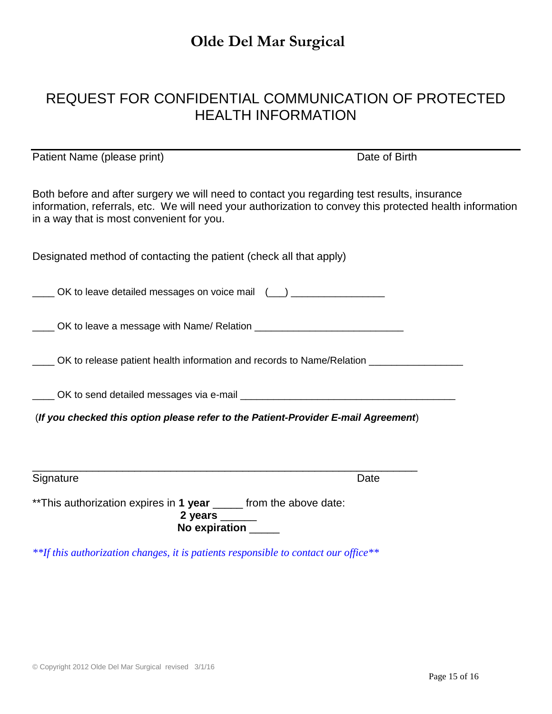## REQUEST FOR CONFIDENTIAL COMMUNICATION OF PROTECTED HEALTH INFORMATION

| Patient Name (please print)                                                                                                                                                                                                                          | Date of Birth |
|------------------------------------------------------------------------------------------------------------------------------------------------------------------------------------------------------------------------------------------------------|---------------|
| Both before and after surgery we will need to contact you regarding test results, insurance<br>information, referrals, etc. We will need your authorization to convey this protected health information<br>in a way that is most convenient for you. |               |
| Designated method of contacting the patient (check all that apply)                                                                                                                                                                                   |               |
| OK to leave detailed messages on voice mail (1) _________________                                                                                                                                                                                    |               |
| _____ OK to leave a message with Name/ Relation ________________________________                                                                                                                                                                     |               |
| ____ OK to release patient health information and records to Name/Relation ___________________                                                                                                                                                       |               |
|                                                                                                                                                                                                                                                      |               |
| (If you checked this option please refer to the Patient-Provider E-mail Agreement)                                                                                                                                                                   |               |
|                                                                                                                                                                                                                                                      |               |
| Signature                                                                                                                                                                                                                                            | Date          |
| ** This authorization expires in 1 year ____ from the above date:<br>2 years $\frac{2}{1}$<br>No expiration _____                                                                                                                                    |               |

*\*\*If this authorization changes, it is patients responsible to contact our office\*\**